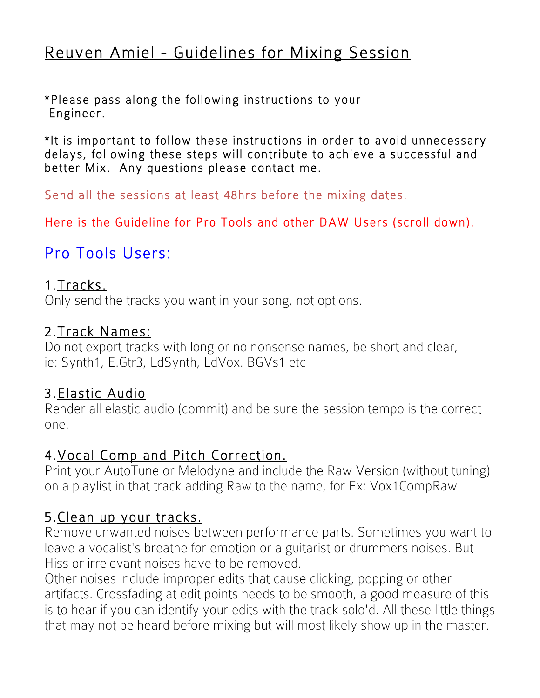# Reuven Amiel - Guidelines for Mixing Session

\*Please pass along the following instructions to your Engineer.

\*It is important to follow these instructions in order to avoid unnecessary delays, following these steps will contribute to achieve a successful and better Mix. Any questions please contact me.

Send all the sessions at least 48hrs before the mixing dates.

Here is the Guideline for Pro Tools and other DAW Users (scroll down).

# Pro Tools Users:

#### 1.Tracks.

Only send the tracks you want in your song, not options.

#### 2.Track Names:

Do not export tracks with long or no nonsense names, be short and clear, ie: Synth1, E.Gtr3, LdSynth, LdVox. BGVs1 etc

### 3.Elastic Audio

Render all elastic audio (commit) and be sure the session tempo is the correct one.

#### 4.Vocal Comp and Pitch Correction.

Print your AutoTune or Melodyne and include the Raw Version (without tuning) on a playlist in that track adding Raw to the name, for Ex: Vox1CompRaw

### 5.Clean up your tracks.

Remove unwanted noises between performance parts. Sometimes you want to leave a vocalist's breathe for emotion or a guitarist or drummers noises. But Hiss or irrelevant noises have to be removed.

Other noises include improper edits that cause clicking, popping or other artifacts. Crossfading at edit points needs to be smooth, a good measure of this is to hear if you can identify your edits with the track solo'd. All these little things that may not be heard before mixing but will most likely show up in the master.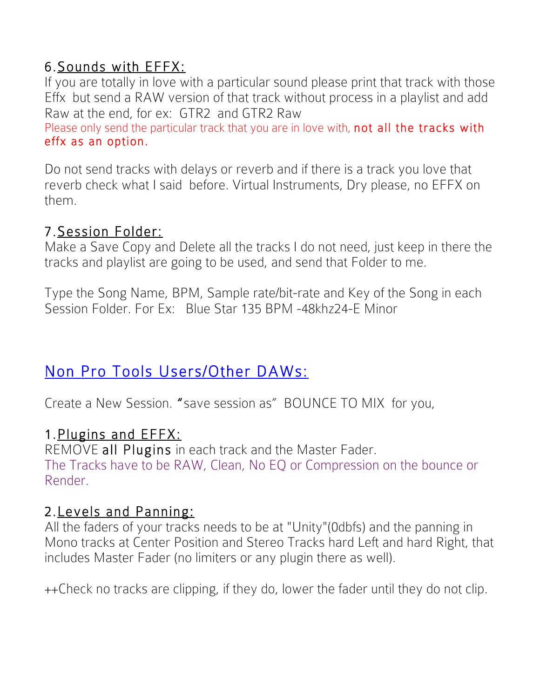# 6.Sounds with EFFX:

If you are totally in love with a particular sound please print that track with those Effx but send a RAW version of that track without process in a playlist and add Raw at the end, for ex: GTR2 and GTR2 Raw

Please only send the particular track that you are in love with, not all the tracks with effx as an option.

Do not send tracks with delays or reverb and if there is a track you love that reverb check what I said before. Virtual Instruments, Dry please, no EFFX on them.

### 7.Session Folder:

Make a Save Copy and Delete all the tracks I do not need, just keep in there the tracks and playlist are going to be used, and send that Folder to me.

Type the Song Name, BPM, Sample rate/bit-rate and Key of the Song in each Session Folder. For Ex: Blue Star 135 BPM -48khz24-E Minor

# Non Pro Tools Users/Other DAWs:

Create a New Session. "save session as" BOUNCE TO MIX for you,

### 1.Plugins and EFFX:

REMOVE all Plugins in each track and the Master Fader. The Tracks have to be RAW, Clean, No EQ or Compression on the bounce or Render.

### 2.Levels and Panning:

All the faders of your tracks needs to be at "Unity"(0dbfs) and the panning in Mono tracks at Center Position and Stereo Tracks hard Left and hard Right, that includes Master Fader (no limiters or any plugin there as well).

++Check no tracks are clipping, if they do, lower the fader until they do not clip.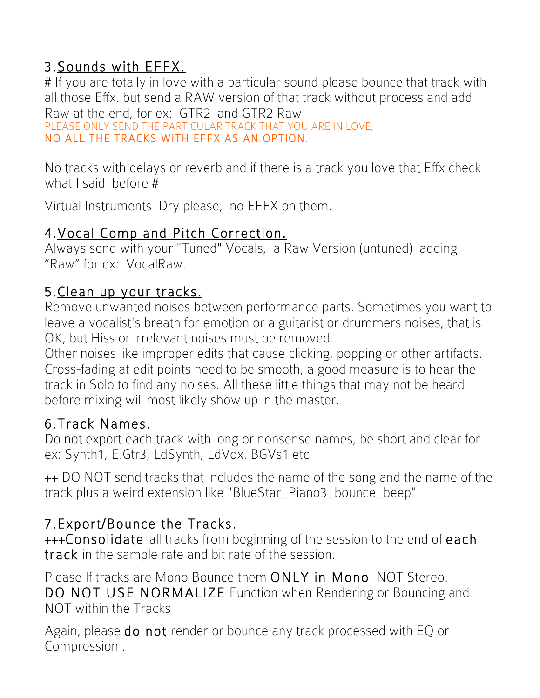# 3.Sounds with EFFX.

# If you are totally in love with a particular sound please bounce that track with all those Effx. but send a RAW version of that track without process and add Raw at the end, for ex: GTR2 and GTR2 Raw

PLEASE ONLY SEND THE PARTICULAR TRACK THAT YOU ARE IN LOVE, NO ALL THE TRACKS WITH EFFX AS AN OPTION.

No tracks with delays or reverb and if there is a track you love that Effx check what I said before #

Virtual Instruments Dry please, no EFFX on them.

### 4.Vocal Comp and Pitch Correction.

Always send with your "Tuned" Vocals, a Raw Version (untuned) adding "Raw" for ex: VocalRaw.

## 5.Clean up your tracks.

Remove unwanted noises between performance parts. Sometimes you want to leave a vocalist's breath for emotion or a guitarist or drummers noises, that is OK, but Hiss or irrelevant noises must be removed.

Other noises like improper edits that cause clicking, popping or other artifacts. Cross-fading at edit points need to be smooth, a good measure is to hear the track in Solo to find any noises. All these little things that may not be heard before mixing will most likely show up in the master.

## 6.Track Names.

Do not export each track with long or nonsense names, be short and clear for ex: Synth1, E.Gtr3, LdSynth, LdVox. BGVs1 etc

++ DO NOT send tracks that includes the name of the song and the name of the track plus a weird extension like "BlueStar\_Piano3\_bounce\_beep"

# 7.Export/Bounce the Tracks.

+++Consolidate all tracks from beginning of the session to the end of each track in the sample rate and bit rate of the session.

Please If tracks are Mono Bounce them ONLY in Mono NOT Stereo. DO NOT USE NORMALIZE Function when Rendering or Bouncing and NOT within the Tracks

Again, please do not render or bounce any track processed with EQ or Compression .